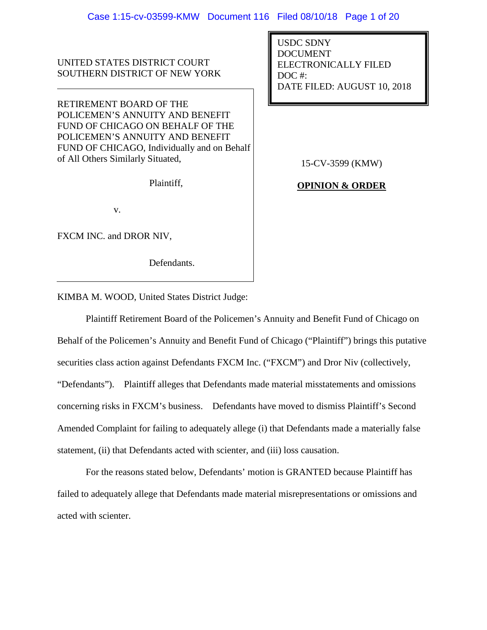UNITED STATES DISTRICT COURT SOUTHERN DISTRICT OF NEW YORK

RETIREMENT BOARD OF THE POLICEMEN'S ANNUITY AND BENEFIT FUND OF CHICAGO ON BEHALF OF THE POLICEMEN'S ANNUITY AND BENEFIT FUND OF CHICAGO, Individually and on Behalf of All Others Similarly Situated,

Plaintiff,

v.

FXCM INC. and DROR NIV,

Defendants.

USDC SDNY DOCUMENT ELECTRONICALLY FILED DOC #: DATE FILED: AUGUST 10, 2018

15-CV-3599 (KMW)

**OPINION & ORDER**

KIMBA M. WOOD, United States District Judge:

Plaintiff Retirement Board of the Policemen's Annuity and Benefit Fund of Chicago on Behalf of the Policemen's Annuity and Benefit Fund of Chicago ("Plaintiff") brings this putative securities class action against Defendants FXCM Inc. ("FXCM") and Dror Niv (collectively, "Defendants"). Plaintiff alleges that Defendants made material misstatements and omissions concerning risks in FXCM's business. Defendants have moved to dismiss Plaintiff's Second Amended Complaint for failing to adequately allege (i) that Defendants made a materially false statement, (ii) that Defendants acted with scienter, and (iii) loss causation.

For the reasons stated below, Defendants' motion is GRANTED because Plaintiff has failed to adequately allege that Defendants made material misrepresentations or omissions and acted with scienter.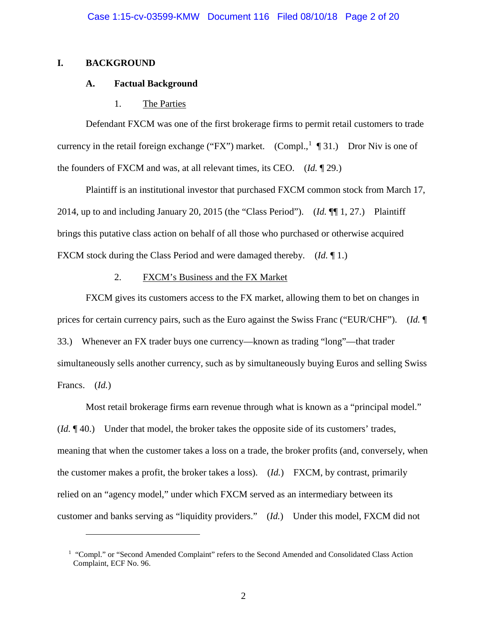# **I. BACKGROUND**

 $\overline{a}$ 

## **A. Factual Background**

## 1. The Parties

Defendant FXCM was one of the first brokerage firms to permit retail customers to trade currency in the retail foreign exchange ("FX") market. (Compl.,  $\mathbb{I}$  ¶ 3[1](#page-1-0).) Dror Niv is one of the founders of FXCM and was, at all relevant times, its CEO. (*Id.* ¶ 29.)

Plaintiff is an institutional investor that purchased FXCM common stock from March 17, 2014, up to and including January 20, 2015 (the "Class Period"). (*Id.* ¶¶ 1, 27.) Plaintiff brings this putative class action on behalf of all those who purchased or otherwise acquired FXCM stock during the Class Period and were damaged thereby. (*Id.* ¶ 1.)

# 2. FXCM's Business and the FX Market

FXCM gives its customers access to the FX market, allowing them to bet on changes in prices for certain currency pairs, such as the Euro against the Swiss Franc ("EUR/CHF"). (*Id.* ¶ 33.) Whenever an FX trader buys one currency—known as trading "long"—that trader simultaneously sells another currency, such as by simultaneously buying Euros and selling Swiss Francs. (*Id.*)

Most retail brokerage firms earn revenue through what is known as a "principal model." (*Id.* ¶ 40.) Under that model, the broker takes the opposite side of its customers' trades, meaning that when the customer takes a loss on a trade, the broker profits (and, conversely, when the customer makes a profit, the broker takes a loss). (*Id.*) FXCM, by contrast, primarily relied on an "agency model," under which FXCM served as an intermediary between its customer and banks serving as "liquidity providers." (*Id.*) Under this model, FXCM did not

<span id="page-1-0"></span><sup>&</sup>lt;sup>1</sup> "Compl." or "Second Amended Complaint" refers to the Second Amended and Consolidated Class Action Complaint, ECF No. 96.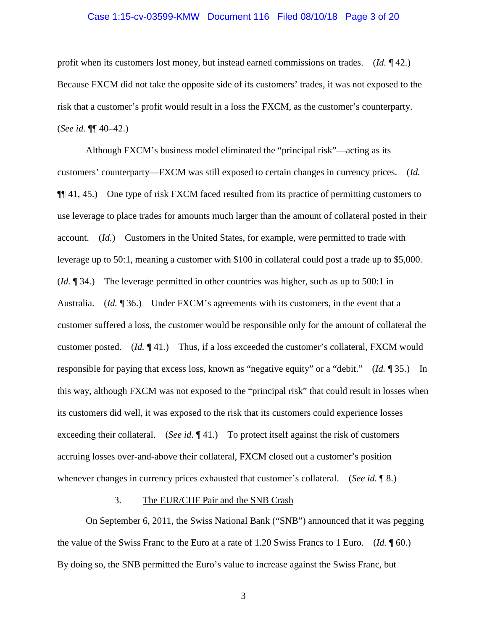### Case 1:15-cv-03599-KMW Document 116 Filed 08/10/18 Page 3 of 20

profit when its customers lost money, but instead earned commissions on trades. (*Id.* ¶ 42.) Because FXCM did not take the opposite side of its customers' trades, it was not exposed to the risk that a customer's profit would result in a loss the FXCM, as the customer's counterparty. (*See id.* ¶¶ 40–42.)

Although FXCM's business model eliminated the "principal risk"—acting as its customers' counterparty—FXCM was still exposed to certain changes in currency prices. (*Id.* ¶¶ 41, 45.) One type of risk FXCM faced resulted from its practice of permitting customers to use leverage to place trades for amounts much larger than the amount of collateral posted in their account. (*Id.*) Customers in the United States, for example, were permitted to trade with leverage up to 50:1, meaning a customer with \$100 in collateral could post a trade up to \$5,000. (*Id.* ¶ 34.) The leverage permitted in other countries was higher, such as up to 500:1 in Australia. (*Id.* ¶ 36.) Under FXCM's agreements with its customers, in the event that a customer suffered a loss, the customer would be responsible only for the amount of collateral the customer posted. (*Id.* ¶ 41.) Thus, if a loss exceeded the customer's collateral, FXCM would responsible for paying that excess loss, known as "negative equity" or a "debit." (*Id.* ¶ 35.) In this way, although FXCM was not exposed to the "principal risk" that could result in losses when its customers did well, it was exposed to the risk that its customers could experience losses exceeding their collateral. (*See id*. ¶ 41.) To protect itself against the risk of customers accruing losses over-and-above their collateral, FXCM closed out a customer's position whenever changes in currency prices exhausted that customer's collateral. (*See id.* ¶ 8.)

## 3. The EUR/CHF Pair and the SNB Crash

On September 6, 2011, the Swiss National Bank ("SNB") announced that it was pegging the value of the Swiss Franc to the Euro at a rate of 1.20 Swiss Francs to 1 Euro. (*Id.* ¶ 60.) By doing so, the SNB permitted the Euro's value to increase against the Swiss Franc, but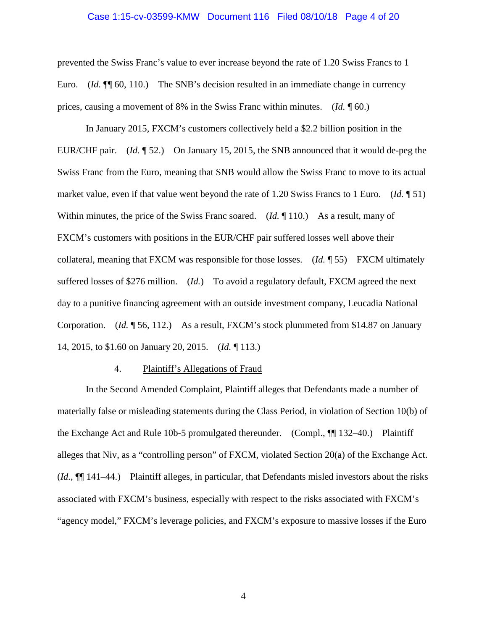### Case 1:15-cv-03599-KMW Document 116 Filed 08/10/18 Page 4 of 20

prevented the Swiss Franc's value to ever increase beyond the rate of 1.20 Swiss Francs to 1 Euro. (*Id.* ¶¶ 60, 110.) The SNB's decision resulted in an immediate change in currency prices, causing a movement of 8% in the Swiss Franc within minutes. (*Id.* ¶ 60.)

In January 2015, FXCM's customers collectively held a \$2.2 billion position in the EUR/CHF pair. (*Id.* ¶ 52.) On January 15, 2015, the SNB announced that it would de-peg the Swiss Franc from the Euro, meaning that SNB would allow the Swiss Franc to move to its actual market value, even if that value went beyond the rate of 1.20 Swiss Francs to 1 Euro. (*Id.* ¶ 51) Within minutes, the price of the Swiss Franc soared. (*Id.* 110.) As a result, many of FXCM's customers with positions in the EUR/CHF pair suffered losses well above their collateral, meaning that FXCM was responsible for those losses. (*Id.* ¶ 55) FXCM ultimately suffered losses of \$276 million. (*Id.*) To avoid a regulatory default, FXCM agreed the next day to a punitive financing agreement with an outside investment company, Leucadia National Corporation. (*Id.* ¶ 56, 112.) As a result, FXCM's stock plummeted from \$14.87 on January 14, 2015, to \$1.60 on January 20, 2015. (*Id.* ¶ 113.)

### 4. Plaintiff's Allegations of Fraud

In the Second Amended Complaint, Plaintiff alleges that Defendants made a number of materially false or misleading statements during the Class Period, in violation of Section 10(b) of the Exchange Act and Rule 10b-5 promulgated thereunder. (Compl., ¶¶ 132–40.) Plaintiff alleges that Niv, as a "controlling person" of FXCM, violated Section 20(a) of the Exchange Act. (*Id.*, ¶¶ 141–44.) Plaintiff alleges, in particular, that Defendants misled investors about the risks associated with FXCM's business, especially with respect to the risks associated with FXCM's "agency model," FXCM's leverage policies, and FXCM's exposure to massive losses if the Euro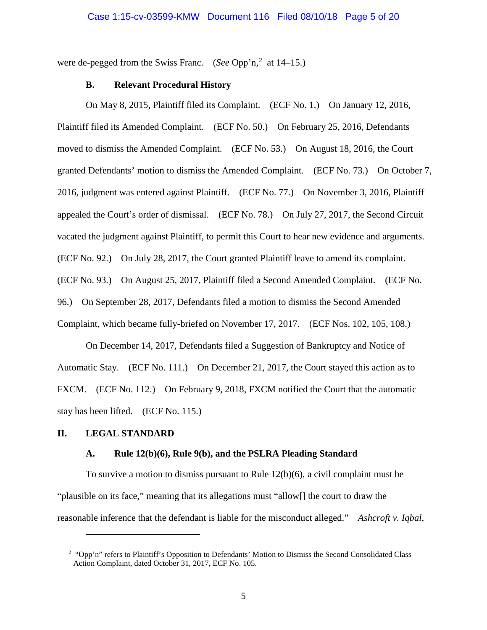were de-pegged from the Swiss Franc. (*See* Opp'n,<sup>[2](#page-4-0)</sup> at 14–15.)

## **B. Relevant Procedural History**

On May 8, 2015, Plaintiff filed its Complaint. (ECF No. 1.) On January 12, 2016, Plaintiff filed its Amended Complaint. (ECF No. 50.) On February 25, 2016, Defendants moved to dismiss the Amended Complaint. (ECF No. 53.) On August 18, 2016, the Court granted Defendants' motion to dismiss the Amended Complaint. (ECF No. 73.) On October 7, 2016, judgment was entered against Plaintiff. (ECF No. 77.) On November 3, 2016, Plaintiff appealed the Court's order of dismissal. (ECF No. 78.) On July 27, 2017, the Second Circuit vacated the judgment against Plaintiff, to permit this Court to hear new evidence and arguments. (ECF No. 92.) On July 28, 2017, the Court granted Plaintiff leave to amend its complaint. (ECF No. 93.) On August 25, 2017, Plaintiff filed a Second Amended Complaint. (ECF No. 96.) On September 28, 2017, Defendants filed a motion to dismiss the Second Amended Complaint, which became fully-briefed on November 17, 2017. (ECF Nos. 102, 105, 108.)

On December 14, 2017, Defendants filed a Suggestion of Bankruptcy and Notice of Automatic Stay. (ECF No. 111.) On December 21, 2017, the Court stayed this action as to FXCM. (ECF No. 112.) On February 9, 2018, FXCM notified the Court that the automatic stay has been lifted. (ECF No. 115.)

## **II. LEGAL STANDARD**

 $\overline{a}$ 

## **A. Rule 12(b)(6), Rule 9(b), and the PSLRA Pleading Standard**

To survive a motion to dismiss pursuant to Rule 12(b)(6), a civil complaint must be "plausible on its face," meaning that its allegations must "allow[] the court to draw the reasonable inference that the defendant is liable for the misconduct alleged." *Ashcroft v. Iqbal*,

<span id="page-4-0"></span><sup>&</sup>lt;sup>2</sup> "Opp'n" refers to Plaintiff's Opposition to Defendants' Motion to Dismiss the Second Consolidated Class Action Complaint, dated October 31, 2017, ECF No. 105.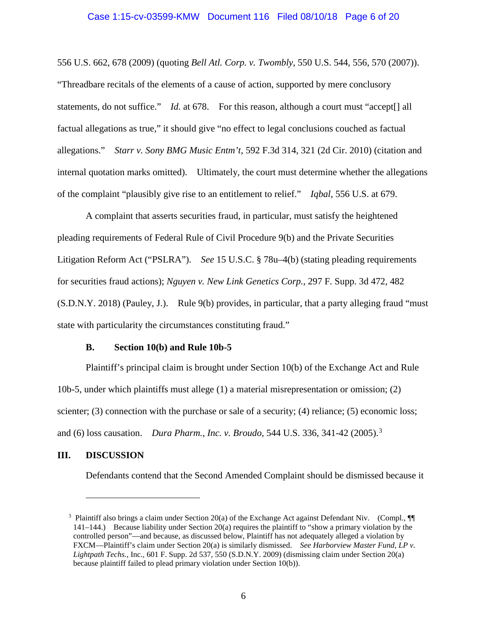#### Case 1:15-cv-03599-KMW Document 116 Filed 08/10/18 Page 6 of 20

556 U.S. 662, 678 (2009) (quoting *Bell Atl. Corp. v. Twombly*, 550 U.S. 544, 556, 570 (2007)). "Threadbare recitals of the elements of a cause of action, supported by mere conclusory statements, do not suffice." *Id.* at 678. For this reason, although a court must "accept<sup>[]</sup> all factual allegations as true," it should give "no effect to legal conclusions couched as factual allegations." *Starr v. Sony BMG Music Entm't*, 592 F.3d 314, 321 (2d Cir. 2010) (citation and internal quotation marks omitted). Ultimately, the court must determine whether the allegations of the complaint "plausibly give rise to an entitlement to relief." *Iqbal*, 556 U.S. at 679.

A complaint that asserts securities fraud, in particular, must satisfy the heightened pleading requirements of Federal Rule of Civil Procedure 9(b) and the Private Securities Litigation Reform Act ("PSLRA"). *See* 15 U.S.C. § 78u–4(b) (stating pleading requirements for securities fraud actions); *Nguyen v. New Link Genetics Corp.*, 297 F. Supp. 3d 472, 482 (S.D.N.Y. 2018) (Pauley, J.). Rule 9(b) provides, in particular, that a party alleging fraud "must state with particularity the circumstances constituting fraud."

# **B. Section 10(b) and Rule 10b-5**

Plaintiff's principal claim is brought under Section 10(b) of the Exchange Act and Rule 10b-5, under which plaintiffs must allege (1) a material misrepresentation or omission; (2) scienter; (3) connection with the purchase or sale of a security; (4) reliance; (5) economic loss; and (6) loss causation. *Dura Pharm., Inc. v. Broudo*, 544 U.S. 336, 341-42 (2005).[3](#page-5-0)

## **III. DISCUSSION**

 $\overline{a}$ 

Defendants contend that the Second Amended Complaint should be dismissed because it

<span id="page-5-0"></span><sup>&</sup>lt;sup>3</sup> Plaintiff also brings a claim under Section 20(a) of the Exchange Act against Defendant Niv. (Compl.,  $\P$ 141–144.) Because liability under Section 20(a) requires the plaintiff to "show a primary violation by the controlled person"—and because, as discussed below, Plaintiff has not adequately alleged a violation by FXCM—Plaintiff's claim under Section 20(a) is similarly dismissed. *See Harborview Master Fund, LP v. Lightpath Techs.*, Inc., 601 F. Supp. 2d 537, 550 (S.D.N.Y. 2009) (dismissing claim under Section 20(a) because plaintiff failed to plead primary violation under Section 10(b)).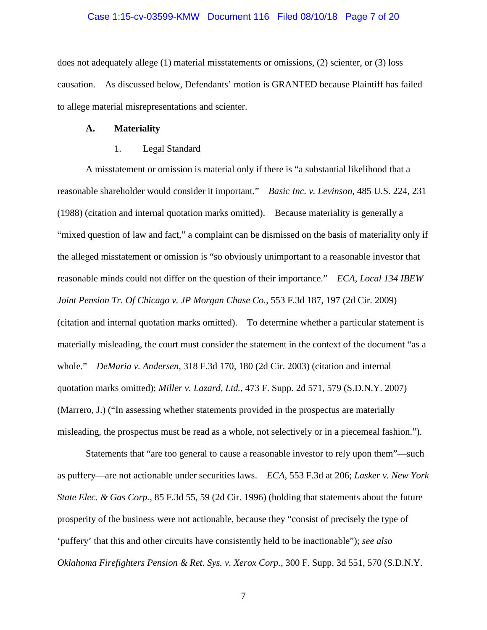### Case 1:15-cv-03599-KMW Document 116 Filed 08/10/18 Page 7 of 20

does not adequately allege (1) material misstatements or omissions, (2) scienter, or (3) loss causation. As discussed below, Defendants' motion is GRANTED because Plaintiff has failed to allege material misrepresentations and scienter.

#### **A. Materiality**

## 1. Legal Standard

A misstatement or omission is material only if there is "a substantial likelihood that a reasonable shareholder would consider it important." *Basic Inc. v. Levinson*, 485 U.S. 224, 231 (1988) (citation and internal quotation marks omitted). Because materiality is generally a "mixed question of law and fact," a complaint can be dismissed on the basis of materiality only if the alleged misstatement or omission is "so obviously unimportant to a reasonable investor that reasonable minds could not differ on the question of their importance." *ECA, Local 134 IBEW Joint Pension Tr. Of Chicago v. JP Morgan Chase Co.*, 553 F.3d 187, 197 (2d Cir. 2009) (citation and internal quotation marks omitted). To determine whether a particular statement is materially misleading, the court must consider the statement in the context of the document "as a whole." *DeMaria v. Andersen*, 318 F.3d 170, 180 (2d Cir. 2003) (citation and internal quotation marks omitted); *Miller v. Lazard, Ltd.*, 473 F. Supp. 2d 571, 579 (S.D.N.Y. 2007) (Marrero, J.) ("In assessing whether statements provided in the prospectus are materially misleading, the prospectus must be read as a whole, not selectively or in a piecemeal fashion.").

Statements that "are too general to cause a reasonable investor to rely upon them"—such as puffery—are not actionable under securities laws. *ECA*, 553 F.3d at 206; *Lasker v. New York State Elec. & Gas Corp.*, 85 F.3d 55, 59 (2d Cir. 1996) (holding that statements about the future prosperity of the business were not actionable, because they "consist of precisely the type of 'puffery' that this and other circuits have consistently held to be inactionable"); *see also Oklahoma Firefighters Pension & Ret. Sys. v. Xerox Corp.*, 300 F. Supp. 3d 551, 570 (S.D.N.Y.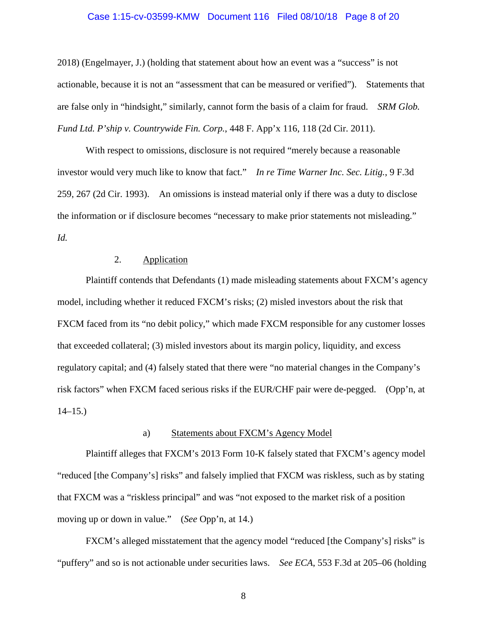### Case 1:15-cv-03599-KMW Document 116 Filed 08/10/18 Page 8 of 20

2018) (Engelmayer, J.) (holding that statement about how an event was a "success" is not actionable, because it is not an "assessment that can be measured or verified"). Statements that are false only in "hindsight," similarly, cannot form the basis of a claim for fraud. *SRM Glob. Fund Ltd. P'ship v. Countrywide Fin. Corp.*, 448 F. App'x 116, 118 (2d Cir. 2011).

With respect to omissions, disclosure is not required "merely because a reasonable investor would very much like to know that fact." *In re Time Warner Inc. Sec. Litig.*, 9 F.3d 259, 267 (2d Cir. 1993). An omissions is instead material only if there was a duty to disclose the information or if disclosure becomes "necessary to make prior statements not misleading." *Id.*

# 2. Application

Plaintiff contends that Defendants (1) made misleading statements about FXCM's agency model, including whether it reduced FXCM's risks; (2) misled investors about the risk that FXCM faced from its "no debit policy," which made FXCM responsible for any customer losses that exceeded collateral; (3) misled investors about its margin policy, liquidity, and excess regulatory capital; and (4) falsely stated that there were "no material changes in the Company's risk factors" when FXCM faced serious risks if the EUR/CHF pair were de-pegged. (Opp'n, at  $14-15.$ )

## a) Statements about FXCM's Agency Model

Plaintiff alleges that FXCM's 2013 Form 10-K falsely stated that FXCM's agency model "reduced [the Company's] risks" and falsely implied that FXCM was riskless, such as by stating that FXCM was a "riskless principal" and was "not exposed to the market risk of a position moving up or down in value." (*See* Opp'n, at 14.)

FXCM's alleged misstatement that the agency model "reduced [the Company's] risks" is "puffery" and so is not actionable under securities laws. *See ECA*, 553 F.3d at 205–06 (holding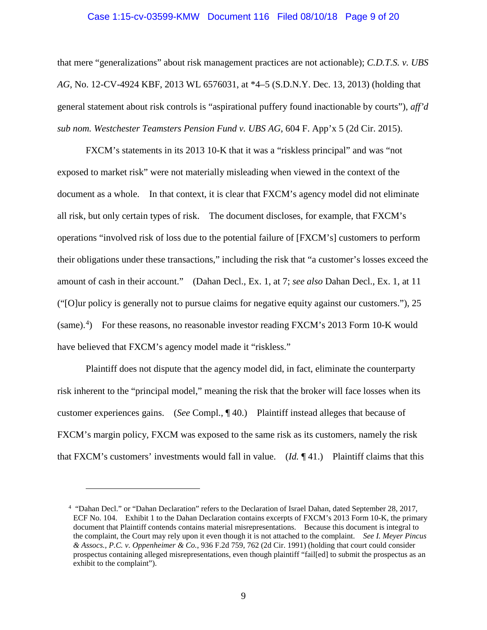### Case 1:15-cv-03599-KMW Document 116 Filed 08/10/18 Page 9 of 20

that mere "generalizations" about risk management practices are not actionable); *C.D.T.S. v. UBS AG*, No. 12-CV-4924 KBF, 2013 WL 6576031, at \*4–5 (S.D.N.Y. Dec. 13, 2013) (holding that general statement about risk controls is "aspirational puffery found inactionable by courts"), *aff'd sub nom. Westchester Teamsters Pension Fund v. UBS AG*, 604 F. App'x 5 (2d Cir. 2015).

FXCM's statements in its 2013 10-K that it was a "riskless principal" and was "not exposed to market risk" were not materially misleading when viewed in the context of the document as a whole. In that context, it is clear that FXCM's agency model did not eliminate all risk, but only certain types of risk. The document discloses, for example, that FXCM's operations "involved risk of loss due to the potential failure of [FXCM's] customers to perform their obligations under these transactions," including the risk that "a customer's losses exceed the amount of cash in their account." (Dahan Decl., Ex. 1, at 7; *see also* Dahan Decl., Ex. 1, at 11 ("[O]ur policy is generally not to pursue claims for negative equity against our customers."), 25 (same).<sup>[4](#page-8-0)</sup>) For these reasons, no reasonable investor reading FXCM's 2013 Form 10-K would have believed that FXCM's agency model made it "riskless."

Plaintiff does not dispute that the agency model did, in fact, eliminate the counterparty risk inherent to the "principal model," meaning the risk that the broker will face losses when its customer experiences gains. (*See* Compl., ¶ 40.) Plaintiff instead alleges that because of FXCM's margin policy, FXCM was exposed to the same risk as its customers, namely the risk that FXCM's customers' investments would fall in value. (*Id.* ¶ 41.) Plaintiff claims that this

<span id="page-8-0"></span><sup>4</sup> "Dahan Decl." or "Dahan Declaration" refers to the Declaration of Israel Dahan, dated September 28, 2017, ECF No. 104. Exhibit 1 to the Dahan Declaration contains excerpts of FXCM's 2013 Form 10-K, the primary document that Plaintiff contends contains material misrepresentations. Because this document is integral to the complaint, the Court may rely upon it even though it is not attached to the complaint. *See I. Meyer Pincus & Assocs., P.C. v. Oppenheimer & Co.*, 936 F.2d 759, 762 (2d Cir. 1991) (holding that court could consider prospectus containing alleged misrepresentations, even though plaintiff "fail[ed] to submit the prospectus as an exhibit to the complaint").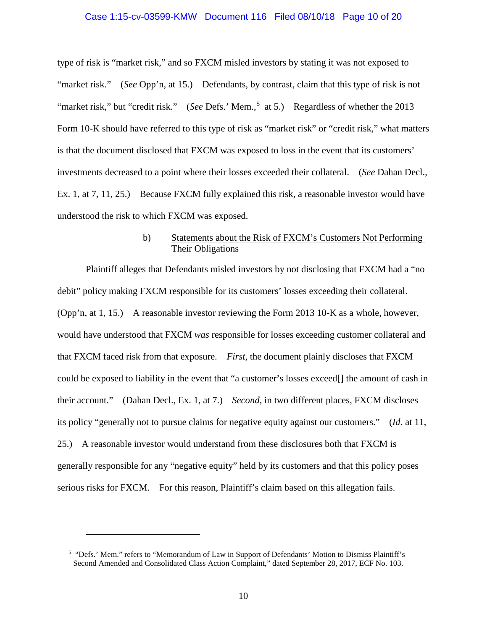#### Case 1:15-cv-03599-KMW Document 116 Filed 08/10/18 Page 10 of 20

type of risk is "market risk," and so FXCM misled investors by stating it was not exposed to "market risk." (*See* Opp'n, at 15.) Defendants, by contrast, claim that this type of risk is not "market risk," but "credit risk." (*See Defs.*' Mem.,<sup>[5](#page-9-0)</sup> at 5.) Regardless of whether the 2013 Form 10-K should have referred to this type of risk as "market risk" or "credit risk," what matters is that the document disclosed that FXCM was exposed to loss in the event that its customers' investments decreased to a point where their losses exceeded their collateral. (*See* Dahan Decl., Ex. 1, at 7, 11, 25.) Because FXCM fully explained this risk, a reasonable investor would have understood the risk to which FXCM was exposed.

# b) Statements about the Risk of FXCM's Customers Not Performing Their Obligations

Plaintiff alleges that Defendants misled investors by not disclosing that FXCM had a "no debit" policy making FXCM responsible for its customers' losses exceeding their collateral. (Opp'n, at 1, 15.) A reasonable investor reviewing the Form 2013 10-K as a whole, however, would have understood that FXCM *was* responsible for losses exceeding customer collateral and that FXCM faced risk from that exposure. *First*, the document plainly discloses that FXCM could be exposed to liability in the event that "a customer's losses exceed[] the amount of cash in their account." (Dahan Decl., Ex. 1, at 7.) *Second*, in two different places, FXCM discloses its policy "generally not to pursue claims for negative equity against our customers." (*Id.* at 11, 25.) A reasonable investor would understand from these disclosures both that FXCM is generally responsible for any "negative equity" held by its customers and that this policy poses serious risks for FXCM. For this reason, Plaintiff's claim based on this allegation fails.

<span id="page-9-0"></span><sup>5</sup> "Defs.' Mem." refers to "Memorandum of Law in Support of Defendants' Motion to Dismiss Plaintiff's Second Amended and Consolidated Class Action Complaint," dated September 28, 2017, ECF No. 103.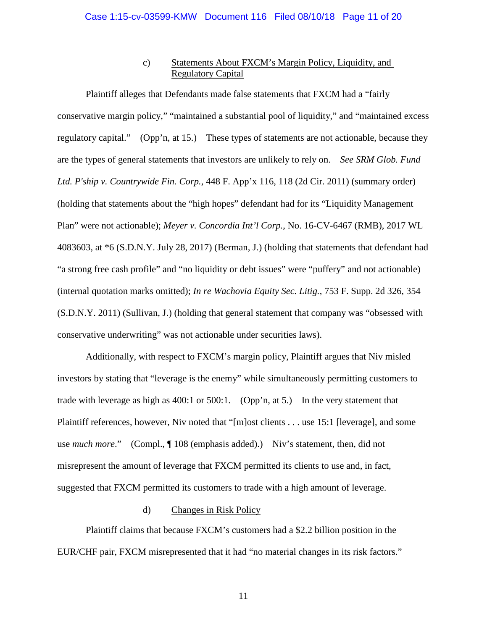# c) Statements About FXCM's Margin Policy, Liquidity, and Regulatory Capital

Plaintiff alleges that Defendants made false statements that FXCM had a "fairly conservative margin policy," "maintained a substantial pool of liquidity," and "maintained excess regulatory capital." (Opp'n, at 15.) These types of statements are not actionable, because they are the types of general statements that investors are unlikely to rely on. *See SRM Glob. Fund Ltd. P'ship v. Countrywide Fin. Corp.*, 448 F. App'x 116, 118 (2d Cir. 2011) (summary order) (holding that statements about the "high hopes" defendant had for its "Liquidity Management Plan" were not actionable); *Meyer v. Concordia Int'l Corp.*, No. 16-CV-6467 (RMB), 2017 WL 4083603, at \*6 (S.D.N.Y. July 28, 2017) (Berman, J.) (holding that statements that defendant had "a strong free cash profile" and "no liquidity or debt issues" were "puffery" and not actionable) (internal quotation marks omitted); *In re Wachovia Equity Sec. Litig.*, 753 F. Supp. 2d 326, 354 (S.D.N.Y. 2011) (Sullivan, J.) (holding that general statement that company was "obsessed with conservative underwriting" was not actionable under securities laws).

Additionally, with respect to FXCM's margin policy, Plaintiff argues that Niv misled investors by stating that "leverage is the enemy" while simultaneously permitting customers to trade with leverage as high as 400:1 or 500:1. (Opp'n, at 5.) In the very statement that Plaintiff references, however, Niv noted that "[m]ost clients . . . use 15:1 [leverage], and some use *much more*." (Compl., ¶ 108 (emphasis added).) Niv's statement, then, did not misrepresent the amount of leverage that FXCM permitted its clients to use and, in fact, suggested that FXCM permitted its customers to trade with a high amount of leverage.

# d) Changes in Risk Policy

Plaintiff claims that because FXCM's customers had a \$2.2 billion position in the EUR/CHF pair, FXCM misrepresented that it had "no material changes in its risk factors."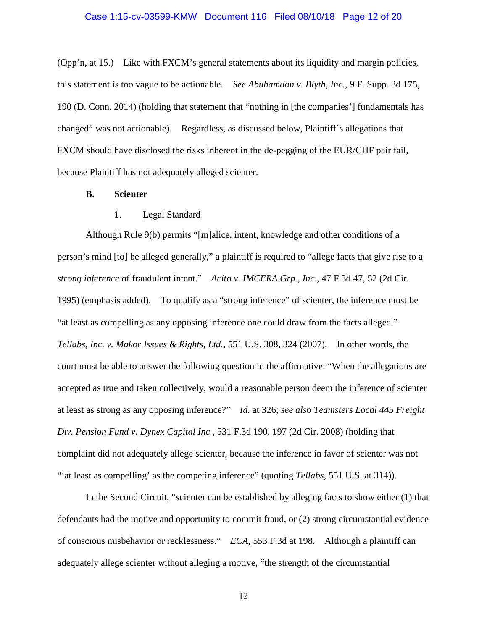(Opp'n, at 15.) Like with FXCM's general statements about its liquidity and margin policies, this statement is too vague to be actionable. *See Abuhamdan v. Blyth, Inc.*, 9 F. Supp. 3d 175, 190 (D. Conn. 2014) (holding that statement that "nothing in [the companies'] fundamentals has changed" was not actionable). Regardless, as discussed below, Plaintiff's allegations that FXCM should have disclosed the risks inherent in the de-pegging of the EUR/CHF pair fail, because Plaintiff has not adequately alleged scienter.

# **B. Scienter**

## 1. Legal Standard

Although Rule 9(b) permits "[m]alice, intent, knowledge and other conditions of a person's mind [to] be alleged generally," a plaintiff is required to "allege facts that give rise to a *strong inference* of fraudulent intent." *Acito v. IMCERA Grp., Inc.*, 47 F.3d 47, 52 (2d Cir. 1995) (emphasis added). To qualify as a "strong inference" of scienter, the inference must be "at least as compelling as any opposing inference one could draw from the facts alleged." *Tellabs, Inc. v. Makor Issues & Rights, Ltd.*, 551 U.S. 308, 324 (2007). In other words, the court must be able to answer the following question in the affirmative: "When the allegations are accepted as true and taken collectively, would a reasonable person deem the inference of scienter at least as strong as any opposing inference?" *Id.* at 326; *see also Teamsters Local 445 Freight Div. Pension Fund v. Dynex Capital Inc.*, 531 F.3d 190, 197 (2d Cir. 2008) (holding that complaint did not adequately allege scienter, because the inference in favor of scienter was not "'at least as compelling' as the competing inference" (quoting *Tellabs*, 551 U.S. at 314)).

In the Second Circuit, "scienter can be established by alleging facts to show either (1) that defendants had the motive and opportunity to commit fraud, or (2) strong circumstantial evidence of conscious misbehavior or recklessness." *ECA*, 553 F.3d at 198. Although a plaintiff can adequately allege scienter without alleging a motive, "the strength of the circumstantial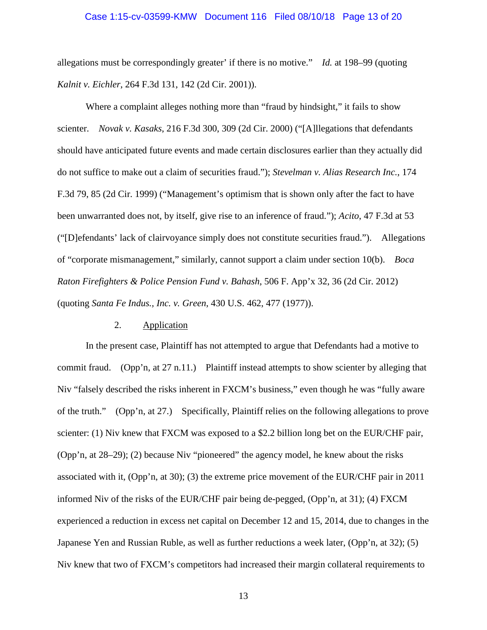### Case 1:15-cv-03599-KMW Document 116 Filed 08/10/18 Page 13 of 20

allegations must be correspondingly greater' if there is no motive." *Id.* at 198–99 (quoting *Kalnit v. Eichler*, 264 F.3d 131, 142 (2d Cir. 2001)).

Where a complaint alleges nothing more than "fraud by hindsight," it fails to show scienter. *Novak v. Kasaks*, 216 F.3d 300, 309 (2d Cir. 2000) ("[A]llegations that defendants should have anticipated future events and made certain disclosures earlier than they actually did do not suffice to make out a claim of securities fraud."); *Stevelman v. Alias Research Inc.*, 174 F.3d 79, 85 (2d Cir. 1999) ("Management's optimism that is shown only after the fact to have been unwarranted does not, by itself, give rise to an inference of fraud."); *Acito*, 47 F.3d at 53 ("[D]efendants' lack of clairvoyance simply does not constitute securities fraud."). Allegations of "corporate mismanagement," similarly, cannot support a claim under section 10(b). *Boca Raton Firefighters & Police Pension Fund v. Bahash*, 506 F. App'x 32, 36 (2d Cir. 2012) (quoting *Santa Fe Indus., Inc. v. Green*, 430 U.S. 462, 477 (1977)).

# 2. Application

In the present case, Plaintiff has not attempted to argue that Defendants had a motive to commit fraud. (Opp'n, at 27 n.11.) Plaintiff instead attempts to show scienter by alleging that Niv "falsely described the risks inherent in FXCM's business," even though he was "fully aware of the truth." (Opp'n, at 27.) Specifically, Plaintiff relies on the following allegations to prove scienter: (1) Niv knew that FXCM was exposed to a \$2.2 billion long bet on the EUR/CHF pair, (Opp'n, at 28–29); (2) because Niv "pioneered" the agency model, he knew about the risks associated with it, (Opp'n, at 30); (3) the extreme price movement of the EUR/CHF pair in 2011 informed Niv of the risks of the EUR/CHF pair being de-pegged, (Opp'n, at 31); (4) FXCM experienced a reduction in excess net capital on December 12 and 15, 2014, due to changes in the Japanese Yen and Russian Ruble, as well as further reductions a week later, (Opp'n, at 32); (5) Niv knew that two of FXCM's competitors had increased their margin collateral requirements to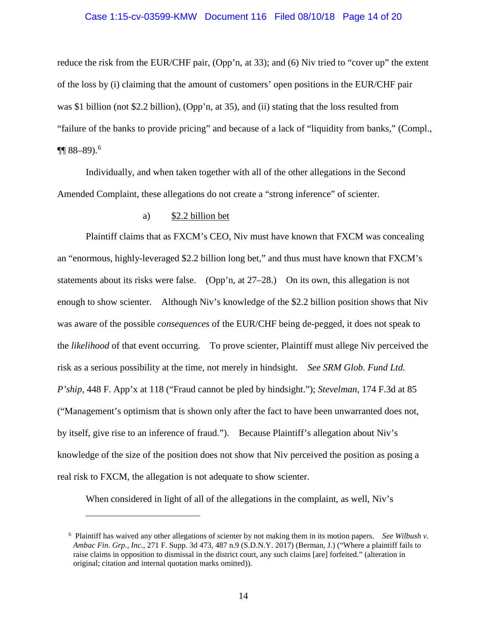### Case 1:15-cv-03599-KMW Document 116 Filed 08/10/18 Page 14 of 20

reduce the risk from the EUR/CHF pair, (Opp'n, at 33); and (6) Niv tried to "cover up" the extent of the loss by (i) claiming that the amount of customers' open positions in the EUR/CHF pair was \$1 billion (not \$2.2 billion), (Opp'n, at 35), and (ii) stating that the loss resulted from "failure of the banks to provide pricing" and because of a lack of "liquidity from banks," (Compl.,  $\P\P$  88–89).<sup>[6](#page-13-0)</sup>

Individually, and when taken together with all of the other allegations in the Second Amended Complaint, these allegations do not create a "strong inference" of scienter.

## a) \$2.2 billion bet

Plaintiff claims that as FXCM's CEO, Niv must have known that FXCM was concealing an "enormous, highly-leveraged \$2.2 billion long bet," and thus must have known that FXCM's statements about its risks were false. (Opp'n, at 27–28.) On its own, this allegation is not enough to show scienter. Although Niv's knowledge of the \$2.2 billion position shows that Niv was aware of the possible *consequences* of the EUR/CHF being de-pegged, it does not speak to the *likelihood* of that event occurring. To prove scienter, Plaintiff must allege Niv perceived the risk as a serious possibility at the time, not merely in hindsight. *See SRM Glob. Fund Ltd. P'ship*, 448 F. App'x at 118 ("Fraud cannot be pled by hindsight."); *Stevelman*, 174 F.3d at 85 ("Management's optimism that is shown only after the fact to have been unwarranted does not, by itself, give rise to an inference of fraud."). Because Plaintiff's allegation about Niv's knowledge of the size of the position does not show that Niv perceived the position as posing a real risk to FXCM, the allegation is not adequate to show scienter.

When considered in light of all of the allegations in the complaint, as well, Niv's

<span id="page-13-0"></span><sup>6</sup> Plaintiff has waived any other allegations of scienter by not making them in its motion papers. *See Wilbush v. Ambac Fin. Grp., Inc.*, 271 F. Supp. 3d 473, 487 n.9 (S.D.N.Y. 2017) (Berman, J.) ("Where a plaintiff fails to raise claims in opposition to dismissal in the district court, any such claims [are] forfeited." (alteration in original; citation and internal quotation marks omitted)).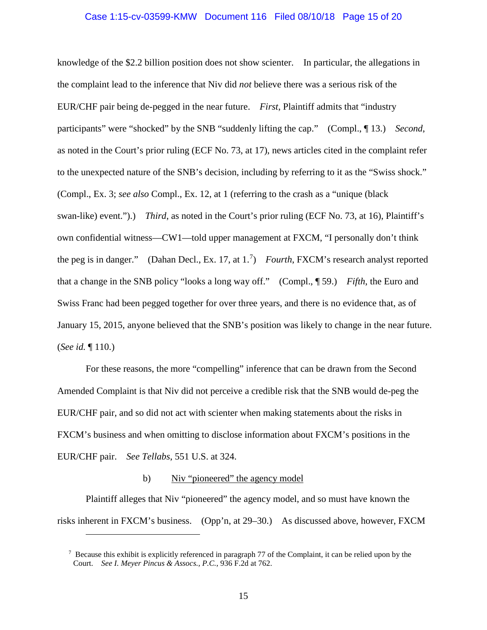#### Case 1:15-cv-03599-KMW Document 116 Filed 08/10/18 Page 15 of 20

knowledge of the \$2.2 billion position does not show scienter. In particular, the allegations in the complaint lead to the inference that Niv did *not* believe there was a serious risk of the EUR/CHF pair being de-pegged in the near future. *First*, Plaintiff admits that "industry participants" were "shocked" by the SNB "suddenly lifting the cap." (Compl., ¶ 13.) *Second*, as noted in the Court's prior ruling (ECF No. 73, at 17), news articles cited in the complaint refer to the unexpected nature of the SNB's decision, including by referring to it as the "Swiss shock." (Compl., Ex. 3; *see also* Compl., Ex. 12, at 1 (referring to the crash as a "unique (black swan-like) event.").) *Third*, as noted in the Court's prior ruling (ECF No. 73, at 16), Plaintiff's own confidential witness—CW1—told upper management at FXCM, "I personally don't think the peg is in danger." (Dahan Decl., Ex. 17, at 1.[7](#page-14-0) ) *Fourth*, FXCM's research analyst reported that a change in the SNB policy "looks a long way off." (Compl., ¶ 59.) *Fifth*, the Euro and Swiss Franc had been pegged together for over three years, and there is no evidence that, as of January 15, 2015, anyone believed that the SNB's position was likely to change in the near future. (*See id.* ¶ 110.)

For these reasons, the more "compelling" inference that can be drawn from the Second Amended Complaint is that Niv did not perceive a credible risk that the SNB would de-peg the EUR/CHF pair, and so did not act with scienter when making statements about the risks in FXCM's business and when omitting to disclose information about FXCM's positions in the EUR/CHF pair. *See Tellabs*, 551 U.S. at 324.

# b) Niv "pioneered" the agency model

 $\overline{a}$ 

Plaintiff alleges that Niv "pioneered" the agency model, and so must have known the risks inherent in FXCM's business. (Opp'n, at 29–30.) As discussed above, however, FXCM

<span id="page-14-0"></span><sup>7</sup> Because this exhibit is explicitly referenced in paragraph 77 of the Complaint, it can be relied upon by the Court. *See I. Meyer Pincus & Assocs., P.C.*, 936 F.2d at 762.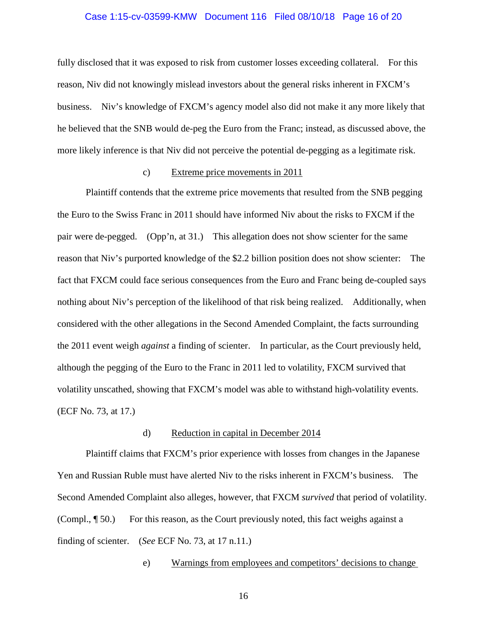### Case 1:15-cv-03599-KMW Document 116 Filed 08/10/18 Page 16 of 20

fully disclosed that it was exposed to risk from customer losses exceeding collateral. For this reason, Niv did not knowingly mislead investors about the general risks inherent in FXCM's business. Niv's knowledge of FXCM's agency model also did not make it any more likely that he believed that the SNB would de-peg the Euro from the Franc; instead, as discussed above, the more likely inference is that Niv did not perceive the potential de-pegging as a legitimate risk.

### c) Extreme price movements in 2011

Plaintiff contends that the extreme price movements that resulted from the SNB pegging the Euro to the Swiss Franc in 2011 should have informed Niv about the risks to FXCM if the pair were de-pegged. (Opp'n, at 31.) This allegation does not show scienter for the same reason that Niv's purported knowledge of the \$2.2 billion position does not show scienter: The fact that FXCM could face serious consequences from the Euro and Franc being de-coupled says nothing about Niv's perception of the likelihood of that risk being realized. Additionally, when considered with the other allegations in the Second Amended Complaint, the facts surrounding the 2011 event weigh *against* a finding of scienter. In particular, as the Court previously held, although the pegging of the Euro to the Franc in 2011 led to volatility, FXCM survived that volatility unscathed, showing that FXCM's model was able to withstand high-volatility events. (ECF No. 73, at 17.)

### d) Reduction in capital in December 2014

Plaintiff claims that FXCM's prior experience with losses from changes in the Japanese Yen and Russian Ruble must have alerted Niv to the risks inherent in FXCM's business. The Second Amended Complaint also alleges, however, that FXCM *survived* that period of volatility. (Compl., ¶ 50.) For this reason, as the Court previously noted, this fact weighs against a finding of scienter. (*See* ECF No. 73, at 17 n.11.)

e) Warnings from employees and competitors' decisions to change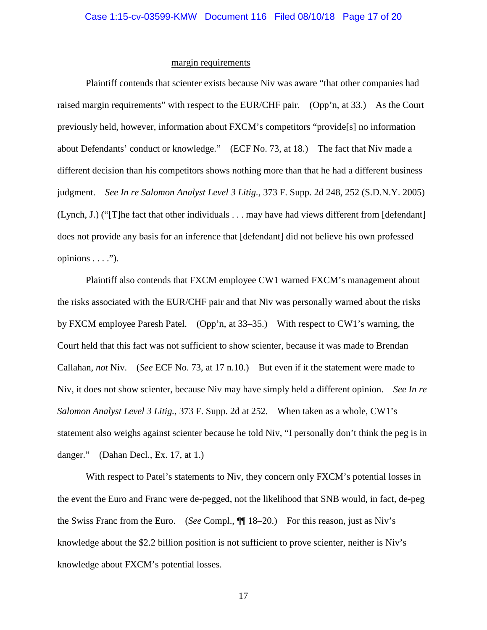# margin requirements

Plaintiff contends that scienter exists because Niv was aware "that other companies had raised margin requirements" with respect to the EUR/CHF pair. (Opp'n, at 33.) As the Court previously held, however, information about FXCM's competitors "provide[s] no information about Defendants' conduct or knowledge." (ECF No. 73, at 18.) The fact that Niv made a different decision than his competitors shows nothing more than that he had a different business judgment. *See In re Salomon Analyst Level 3 Litig.*, 373 F. Supp. 2d 248, 252 (S.D.N.Y. 2005) (Lynch, J.) ("[T]he fact that other individuals . . . may have had views different from [defendant] does not provide any basis for an inference that [defendant] did not believe his own professed opinions  $\dots$ ").

Plaintiff also contends that FXCM employee CW1 warned FXCM's management about the risks associated with the EUR/CHF pair and that Niv was personally warned about the risks by FXCM employee Paresh Patel. (Opp'n, at 33–35.) With respect to CW1's warning, the Court held that this fact was not sufficient to show scienter, because it was made to Brendan Callahan, *not* Niv. (*See* ECF No. 73, at 17 n.10.) But even if it the statement were made to Niv, it does not show scienter, because Niv may have simply held a different opinion. *See In re Salomon Analyst Level 3 Litig.*, 373 F. Supp. 2d at 252. When taken as a whole, CW1's statement also weighs against scienter because he told Niv, "I personally don't think the peg is in danger." (Dahan Decl., Ex. 17, at 1.)

With respect to Patel's statements to Niv, they concern only FXCM's potential losses in the event the Euro and Franc were de-pegged, not the likelihood that SNB would, in fact, de-peg the Swiss Franc from the Euro. (*See* Compl., ¶¶ 18–20.) For this reason, just as Niv's knowledge about the \$2.2 billion position is not sufficient to prove scienter, neither is Niv's knowledge about FXCM's potential losses.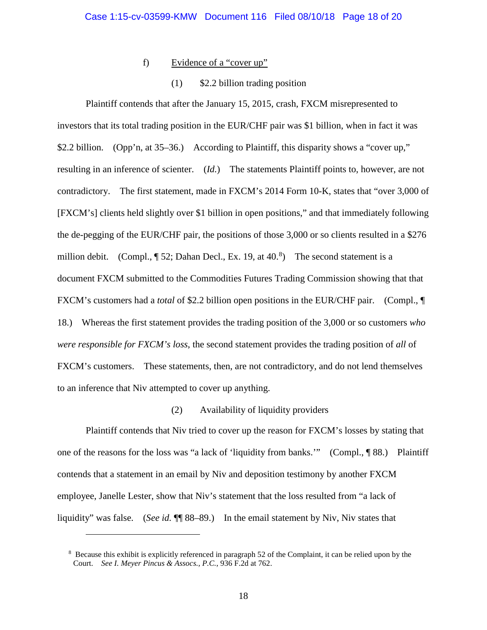# f) Evidence of a "cover up"

### (1) \$2.2 billion trading position

Plaintiff contends that after the January 15, 2015, crash, FXCM misrepresented to investors that its total trading position in the EUR/CHF pair was \$1 billion, when in fact it was \$2.2 billion. (Opp'n, at 35–36.) According to Plaintiff, this disparity shows a "cover up," resulting in an inference of scienter. (*Id.*) The statements Plaintiff points to, however, are not contradictory. The first statement, made in FXCM's 2014 Form 10-K, states that "over 3,000 of [FXCM's] clients held slightly over \$1 billion in open positions," and that immediately following the de-pegging of the EUR/CHF pair, the positions of those 3,000 or so clients resulted in a \$276 million debit. (Compl.,  $\P$  52; Dahan Decl., Ex. 19, at 40.<sup>[8](#page-17-0)</sup>) The second statement is a document FXCM submitted to the Commodities Futures Trading Commission showing that that FXCM's customers had a *total* of \$2.2 billion open positions in the EUR/CHF pair. (Compl.,  $\P$ 18.) Whereas the first statement provides the trading position of the 3,000 or so customers *who were responsible for FXCM's loss*, the second statement provides the trading position of *all* of FXCM's customers. These statements, then, are not contradictory, and do not lend themselves to an inference that Niv attempted to cover up anything.

# (2) Availability of liquidity providers

Plaintiff contends that Niv tried to cover up the reason for FXCM's losses by stating that one of the reasons for the loss was "a lack of 'liquidity from banks.'" (Compl., ¶ 88.) Plaintiff contends that a statement in an email by Niv and deposition testimony by another FXCM employee, Janelle Lester, show that Niv's statement that the loss resulted from "a lack of liquidity" was false. (*See id.*  $\P$  88–89.) In the email statement by Niv, Niv states that

<span id="page-17-0"></span><sup>&</sup>lt;sup>8</sup> Because this exhibit is explicitly referenced in paragraph 52 of the Complaint, it can be relied upon by the Court. *See I. Meyer Pincus & Assocs., P.C.*, 936 F.2d at 762.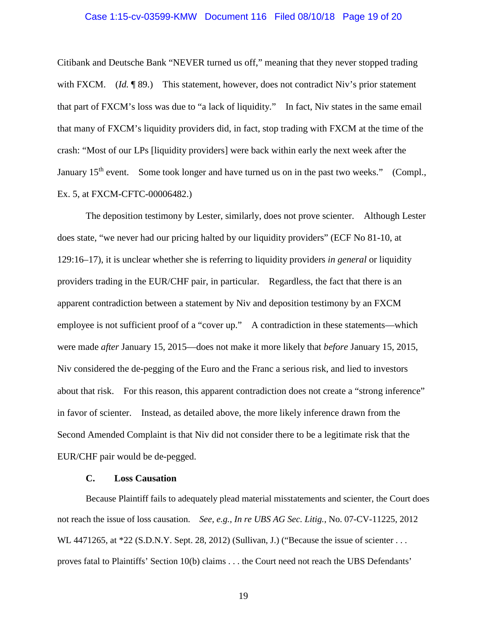#### Case 1:15-cv-03599-KMW Document 116 Filed 08/10/18 Page 19 of 20

Citibank and Deutsche Bank "NEVER turned us off," meaning that they never stopped trading with FXCM. (*Id.* ¶ 89.) This statement, however, does not contradict Niv's prior statement that part of FXCM's loss was due to "a lack of liquidity." In fact, Niv states in the same email that many of FXCM's liquidity providers did, in fact, stop trading with FXCM at the time of the crash: "Most of our LPs [liquidity providers] were back within early the next week after the January 15<sup>th</sup> event. Some took longer and have turned us on in the past two weeks." (Compl., Ex. 5, at FXCM-CFTC-00006482.)

The deposition testimony by Lester, similarly, does not prove scienter. Although Lester does state, "we never had our pricing halted by our liquidity providers" (ECF No 81-10, at 129:16–17), it is unclear whether she is referring to liquidity providers *in general* or liquidity providers trading in the EUR/CHF pair, in particular. Regardless, the fact that there is an apparent contradiction between a statement by Niv and deposition testimony by an FXCM employee is not sufficient proof of a "cover up." A contradiction in these statements—which were made *after* January 15, 2015—does not make it more likely that *before* January 15, 2015, Niv considered the de-pegging of the Euro and the Franc a serious risk, and lied to investors about that risk. For this reason, this apparent contradiction does not create a "strong inference" in favor of scienter. Instead, as detailed above, the more likely inference drawn from the Second Amended Complaint is that Niv did not consider there to be a legitimate risk that the EUR/CHF pair would be de-pegged.

# **C. Loss Causation**

Because Plaintiff fails to adequately plead material misstatements and scienter, the Court does not reach the issue of loss causation. *See, e.g.*, *In re UBS AG Sec. Litig.*, No. 07-CV-11225, 2012 WL 4471265, at \*22 (S.D.N.Y. Sept. 28, 2012) (Sullivan, J.) ("Because the issue of scienter . . . proves fatal to Plaintiffs' Section 10(b) claims . . . the Court need not reach the UBS Defendants'